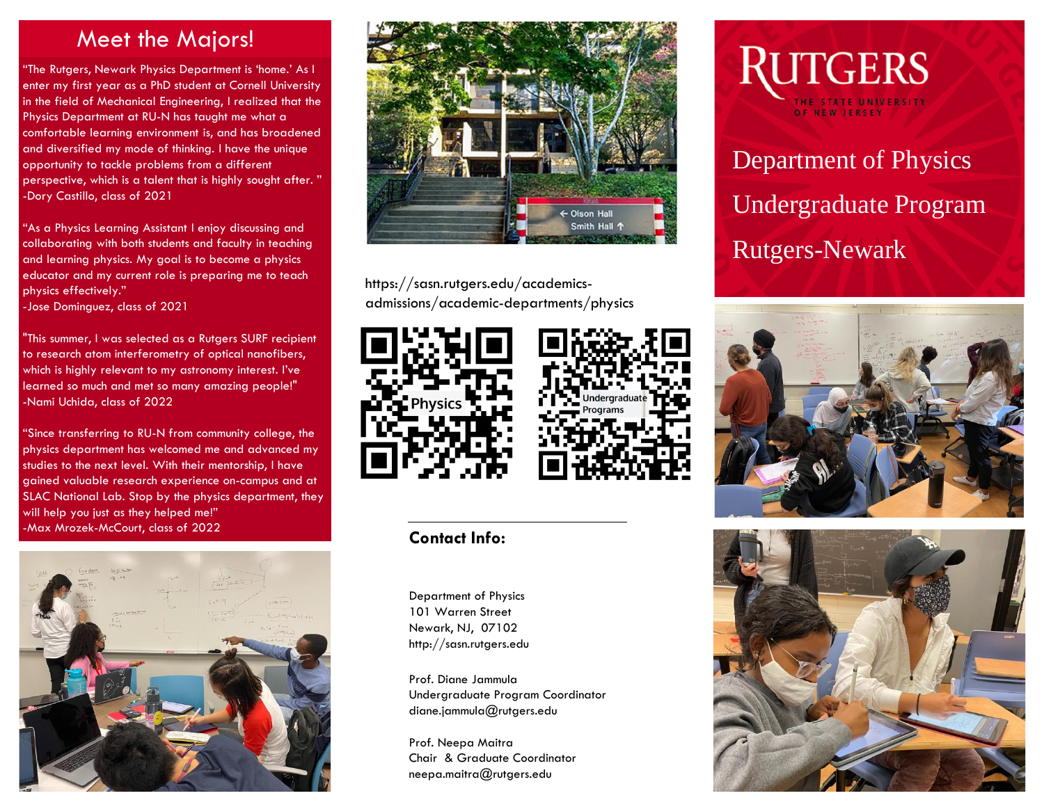### Meet the Majors!

"The Rutgers, Newark Physics Department is 'home.' As I enter my first year as a PhD student at Cornell University in the field of Mechanical Engineering, I realized that the Physics Department at RU-N has taught me what a comfortable learning environment is, and has broadened and diversified my mode of thinking. I have the unique opportunity to tackle problems from a different perspective, which is a talent that is highly sought after. " -Dory Castillo, class of 2021

"As a Physics Learning Assistant I enjoy discussing and collaborating with both students and faculty in teaching and learning physics. My goal is to become a physics educator and my current role is preparing me to teach physics effectively."

-Jose Dominguez, class of 2021

"This summer, I was selected as a Rutgers SURF recipient to research atom interferometry of optical nanofibers, which is highly relevant to my astronomy interest. I've learned so much and met so many amazing people!" -Nami Uchida, class of 2022

"Since transferring to RU-N from community college, the physics department has welcomed me and advanced my studies to the next level. With their mentorship, I have gained valuable research experience on-campus and at SLAC National Lab. Stop by the physics department, they will help you just as they helped me!" -Max Mrozek-McCourt, class of 2022





https://sasn.rutgers.edu/academicsadmissions/academic-departments/physics





#### **Contact Info:**

Department of Physics 101 Warren Street Newark, NJ, 07102 http://sasn.rutgers.edu

Prof. Diane Jammula Undergraduate Program Coordinator diane.jammula@rutgers.edu

Prof. Neepa Maitra Chair & Graduate Coordinator neepa.maitra@rutgers.edu



Department of Physics Undergraduate Program Rutgers-Newark